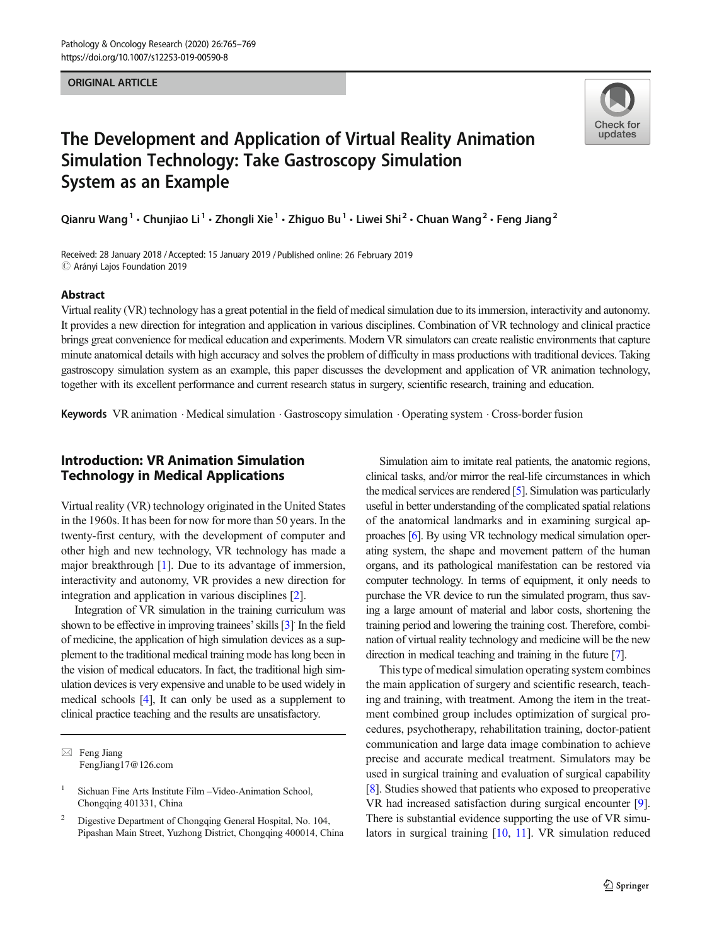#### **ORIGINAL ARTICLE** ORIGINAL ARTICLE



# The Development and Application of Virtual Reality Animation Simulation Technology: Take Gastroscopy Simulation System as an Example

Qianru Wang<sup>1</sup> • Chunjiao Li<sup>1</sup> • Zhongli Xie<sup>1</sup> • Zhiguo Bu<sup>1</sup> • Liwei Shi<sup>2</sup> • Chuan Wang<sup>2</sup> • Feng Jiang<sup>2</sup>

Received: 28 January 2018 /Accepted: 15 January 2019 /Published online: 26 February 2019 $\odot$  Arányi Lajos Foundation 2019

#### Abstract

Virtual reality (VR) technology has a great potential in the field of medical simulation due to its immersion, interactivity and autonomy. It provides a new direction for integration and application in various disciplines. Combination of VR technology and clinical practice brings great convenience for medical education and experiments. Modern VR simulators can create realistic environments that capture minute anatomical details with high accuracy and solves the problem of difficulty in mass productions with traditional devices. Taking gastroscopy simulation system as an example, this paper discusses the development and application of VR animation technology, together with its excellent performance and current research status in surgery, scientific research, training and education.

Keywords VR animation . Medical simulation . Gastroscopy simulation . Operating system . Cross-border fusion

# Introduction: VR Animation Simulation Technology in Medical Applications

Virtual reality (VR) technology originated in the United States in the 1960s. It has been for now for more than 50 years. In the twenty-first century, with the development of computer and other high and new technology, VR technology has made a major breakthrough [\[1\]](#page-4-0). Due to its advantage of immersion, interactivity and autonomy, VR provides a new direction for integration and application in various disciplines [[2\]](#page-4-0).

Integration of VR simulation in the training curriculum was shown to be effective in improving trainees' skills [\[3\]](#page-4-0) In the field of medicine, the application of high simulation devices as a supplement to the traditional medical training mode has long been in the vision of medical educators. In fact, the traditional high simulation devices is very expensive and unable to be used widely in medical schools [\[4\]](#page-4-0), It can only be used as a supplement to clinical practice teaching and the results are unsatisfactory.

Simulation aim to imitate real patients, the anatomic regions, clinical tasks, and/or mirror the real-life circumstances in which the medical services are rendered [[5](#page-4-0)]. Simulation was particularly useful in better understanding of the complicated spatial relations of the anatomical landmarks and in examining surgical approaches [\[6](#page-4-0)]. By using VR technology medical simulation operating system, the shape and movement pattern of the human organs, and its pathological manifestation can be restored via computer technology. In terms of equipment, it only needs to purchase the VR device to run the simulated program, thus saving a large amount of material and labor costs, shortening the training period and lowering the training cost. Therefore, combination of virtual reality technology and medicine will be the new direction in medical teaching and training in the future [[7](#page-4-0)].

This type of medical simulation operating system combines the main application of surgery and scientific research, teaching and training, with treatment. Among the item in the treatment combined group includes optimization of surgical procedures, psychotherapy, rehabilitation training, doctor-patient communication and large data image combination to achieve precise and accurate medical treatment. Simulators may be used in surgical training and evaluation of surgical capability [\[8](#page-4-0)]. Studies showed that patients who exposed to preoperative VR had increased satisfaction during surgical encounter [[9\]](#page-4-0). There is substantial evidence supporting the use of VR simulators in surgical training [\[10](#page-4-0), [11\]](#page-4-0). VR simulation reduced

 $\boxtimes$  Feng Jiang [FengJiang17@126.com](mailto:FengJiang17@126.com)

<sup>&</sup>lt;sup>1</sup> Sichuan Fine Arts Institute Film – Video-Animation School. Chongqing 401331, China

<sup>2</sup> Digestive Department of Chongqing General Hospital, No. 104, Pipashan Main Street, Yuzhong District, Chongqing 400014, China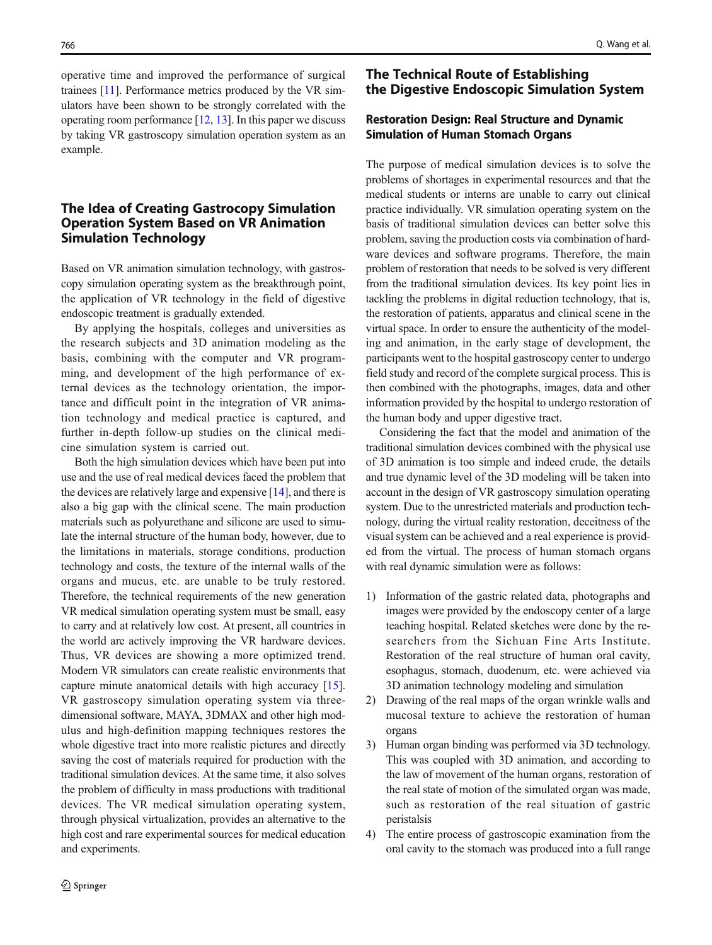operative time and improved the performance of surgical trainees [\[11](#page-4-0)]. Performance metrics produced by the VR simulators have been shown to be strongly correlated with the operating room performance [\[12,](#page-4-0) [13](#page-4-0)]. In this paper we discuss by taking VR gastroscopy simulation operation system as an example.

# The Idea of Creating Gastrocopy Simulation Operation System Based on VR Animation Simulation Technology

Based on VR animation simulation technology, with gastroscopy simulation operating system as the breakthrough point, the application of VR technology in the field of digestive endoscopic treatment is gradually extended.

By applying the hospitals, colleges and universities as the research subjects and 3D animation modeling as the basis, combining with the computer and VR programming, and development of the high performance of external devices as the technology orientation, the importance and difficult point in the integration of VR animation technology and medical practice is captured, and further in-depth follow-up studies on the clinical medicine simulation system is carried out.

Both the high simulation devices which have been put into use and the use of real medical devices faced the problem that the devices are relatively large and expensive [\[14](#page-4-0)], and there is also a big gap with the clinical scene. The main production materials such as polyurethane and silicone are used to simulate the internal structure of the human body, however, due to the limitations in materials, storage conditions, production technology and costs, the texture of the internal walls of the organs and mucus, etc. are unable to be truly restored. Therefore, the technical requirements of the new generation VR medical simulation operating system must be small, easy to carry and at relatively low cost. At present, all countries in the world are actively improving the VR hardware devices. Thus, VR devices are showing a more optimized trend. Modern VR simulators can create realistic environments that capture minute anatomical details with high accuracy [[15](#page-4-0)]. VR gastroscopy simulation operating system via threedimensional software, MAYA, 3DMAX and other high modulus and high-definition mapping techniques restores the whole digestive tract into more realistic pictures and directly saving the cost of materials required for production with the traditional simulation devices. At the same time, it also solves the problem of difficulty in mass productions with traditional devices. The VR medical simulation operating system, through physical virtualization, provides an alternative to the high cost and rare experimental sources for medical education and experiments.

# The Technical Route of Establishing the Digestive Endoscopic Simulation System

# Restoration Design: Real Structure and Dynamic Simulation of Human Stomach Organs

The purpose of medical simulation devices is to solve the problems of shortages in experimental resources and that the medical students or interns are unable to carry out clinical practice individually. VR simulation operating system on the basis of traditional simulation devices can better solve this problem, saving the production costs via combination of hardware devices and software programs. Therefore, the main problem of restoration that needs to be solved is very different from the traditional simulation devices. Its key point lies in tackling the problems in digital reduction technology, that is, the restoration of patients, apparatus and clinical scene in the virtual space. In order to ensure the authenticity of the modeling and animation, in the early stage of development, the participants went to the hospital gastroscopy center to undergo field study and record of the complete surgical process. This is then combined with the photographs, images, data and other information provided by the hospital to undergo restoration of the human body and upper digestive tract.

Considering the fact that the model and animation of the traditional simulation devices combined with the physical use of 3D animation is too simple and indeed crude, the details and true dynamic level of the 3D modeling will be taken into account in the design of VR gastroscopy simulation operating system. Due to the unrestricted materials and production technology, during the virtual reality restoration, deceitness of the visual system can be achieved and a real experience is provided from the virtual. The process of human stomach organs with real dynamic simulation were as follows:

- 1) Information of the gastric related data, photographs and images were provided by the endoscopy center of a large teaching hospital. Related sketches were done by the researchers from the Sichuan Fine Arts Institute. Restoration of the real structure of human oral cavity, esophagus, stomach, duodenum, etc. were achieved via 3D animation technology modeling and simulation
- 2) Drawing of the real maps of the organ wrinkle walls and mucosal texture to achieve the restoration of human organs
- 3) Human organ binding was performed via 3D technology. This was coupled with 3D animation, and according to the law of movement of the human organs, restoration of the real state of motion of the simulated organ was made, such as restoration of the real situation of gastric peristalsis
- 4) The entire process of gastroscopic examination from the oral cavity to the stomach was produced into a full range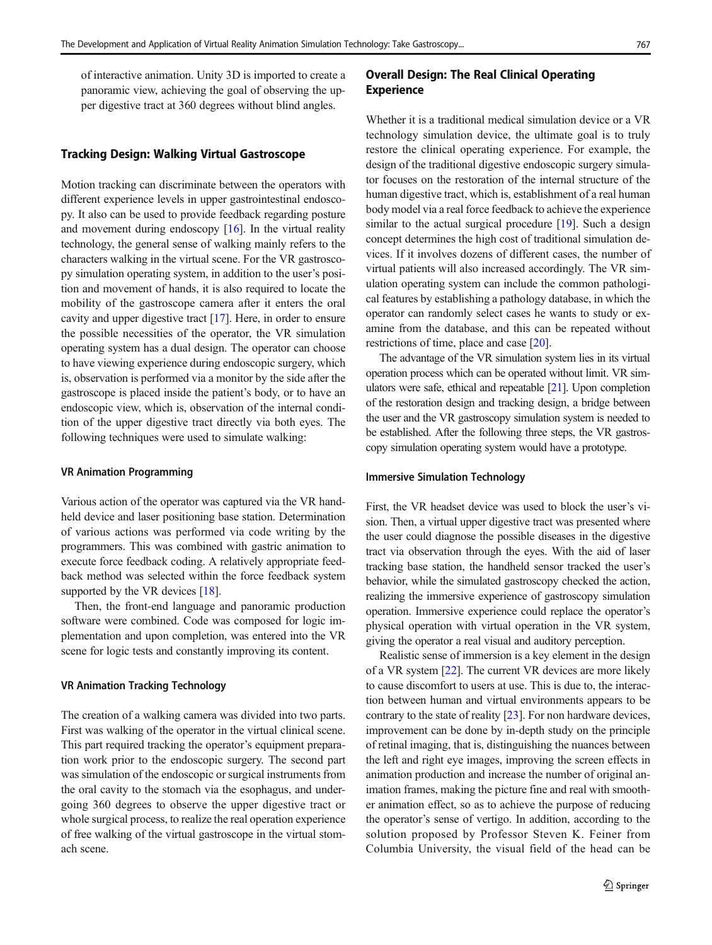of interactive animation. Unity 3D is imported to create a panoramic view, achieving the goal of observing the upper digestive tract at 360 degrees without blind angles.

#### Tracking Design: Walking Virtual Gastroscope

Motion tracking can discriminate between the operators with different experience levels in upper gastrointestinal endoscopy. It also can be used to provide feedback regarding posture and movement during endoscopy [\[16](#page-4-0)]. In the virtual reality technology, the general sense of walking mainly refers to the characters walking in the virtual scene. For the VR gastroscopy simulation operating system, in addition to the user's position and movement of hands, it is also required to locate the mobility of the gastroscope camera after it enters the oral cavity and upper digestive tract [[17\]](#page-4-0). Here, in order to ensure the possible necessities of the operator, the VR simulation operating system has a dual design. The operator can choose to have viewing experience during endoscopic surgery, which is, observation is performed via a monitor by the side after the gastroscope is placed inside the patient's body, or to have an endoscopic view, which is, observation of the internal condition of the upper digestive tract directly via both eyes. The following techniques were used to simulate walking:

#### VR Animation Programming

Various action of the operator was captured via the VR handheld device and laser positioning base station. Determination of various actions was performed via code writing by the programmers. This was combined with gastric animation to execute force feedback coding. A relatively appropriate feedback method was selected within the force feedback system supported by the VR devices [\[18\]](#page-4-0).

Then, the front-end language and panoramic production software were combined. Code was composed for logic implementation and upon completion, was entered into the VR scene for logic tests and constantly improving its content.

#### VR Animation Tracking Technology

The creation of a walking camera was divided into two parts. First was walking of the operator in the virtual clinical scene. This part required tracking the operator's equipment preparation work prior to the endoscopic surgery. The second part was simulation of the endoscopic or surgical instruments from the oral cavity to the stomach via the esophagus, and undergoing 360 degrees to observe the upper digestive tract or whole surgical process, to realize the real operation experience of free walking of the virtual gastroscope in the virtual stomach scene.

### Overall Design: The Real Clinical Operating Experience

Whether it is a traditional medical simulation device or a VR technology simulation device, the ultimate goal is to truly restore the clinical operating experience. For example, the design of the traditional digestive endoscopic surgery simulator focuses on the restoration of the internal structure of the human digestive tract, which is, establishment of a real human body model via a real force feedback to achieve the experience similar to the actual surgical procedure [[19\]](#page-4-0). Such a design concept determines the high cost of traditional simulation devices. If it involves dozens of different cases, the number of virtual patients will also increased accordingly. The VR simulation operating system can include the common pathological features by establishing a pathology database, in which the operator can randomly select cases he wants to study or examine from the database, and this can be repeated without restrictions of time, place and case [\[20](#page-4-0)].

The advantage of the VR simulation system lies in its virtual operation process which can be operated without limit. VR simulators were safe, ethical and repeatable [\[21](#page-4-0)]. Upon completion of the restoration design and tracking design, a bridge between the user and the VR gastroscopy simulation system is needed to be established. After the following three steps, the VR gastroscopy simulation operating system would have a prototype.

#### Immersive Simulation Technology

First, the VR headset device was used to block the user's vision. Then, a virtual upper digestive tract was presented where the user could diagnose the possible diseases in the digestive tract via observation through the eyes. With the aid of laser tracking base station, the handheld sensor tracked the user's behavior, while the simulated gastroscopy checked the action, realizing the immersive experience of gastroscopy simulation operation. Immersive experience could replace the operator's physical operation with virtual operation in the VR system, giving the operator a real visual and auditory perception.

Realistic sense of immersion is a key element in the design of a VR system [\[22](#page-4-0)]. The current VR devices are more likely to cause discomfort to users at use. This is due to, the interaction between human and virtual environments appears to be contrary to the state of reality [\[23](#page-4-0)]. For non hardware devices, improvement can be done by in-depth study on the principle of retinal imaging, that is, distinguishing the nuances between the left and right eye images, improving the screen effects in animation production and increase the number of original animation frames, making the picture fine and real with smoother animation effect, so as to achieve the purpose of reducing the operator's sense of vertigo. In addition, according to the solution proposed by Professor Steven K. Feiner from Columbia University, the visual field of the head can be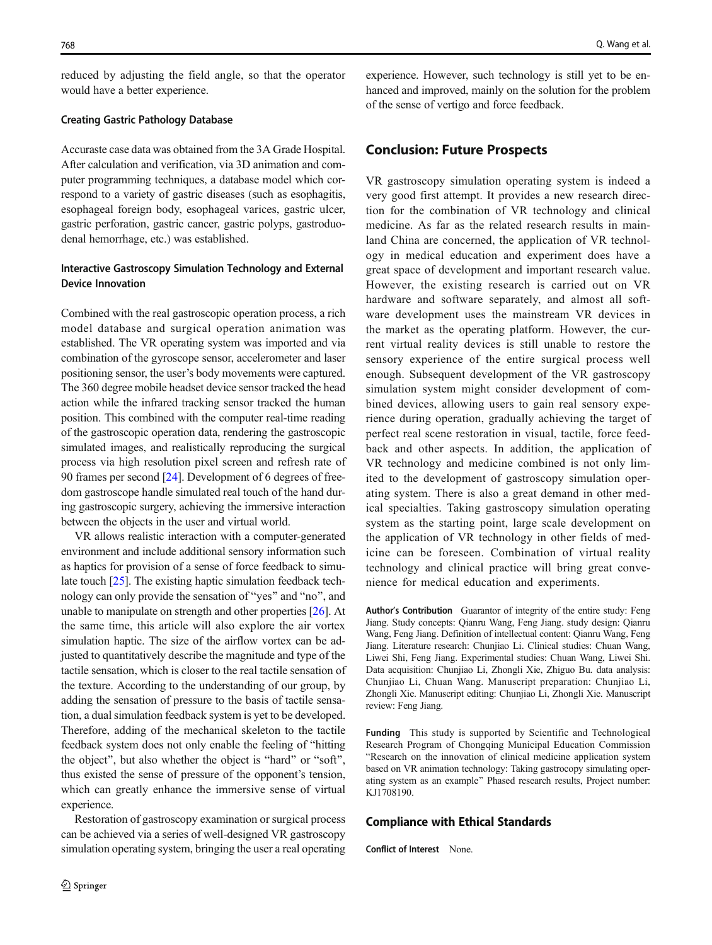reduced by adjusting the field angle, so that the operator would have a better experience.

#### Creating Gastric Pathology Database

Accuraste case data was obtained from the 3A Grade Hospital. After calculation and verification, via 3D animation and computer programming techniques, a database model which correspond to a variety of gastric diseases (such as esophagitis, esophageal foreign body, esophageal varices, gastric ulcer, gastric perforation, gastric cancer, gastric polyps, gastroduodenal hemorrhage, etc.) was established.

# Interactive Gastroscopy Simulation Technology and External Device Innovation

Combined with the real gastroscopic operation process, a rich model database and surgical operation animation was established. The VR operating system was imported and via combination of the gyroscope sensor, accelerometer and laser positioning sensor, the user's body movements were captured. The 360 degree mobile headset device sensor tracked the head action while the infrared tracking sensor tracked the human position. This combined with the computer real-time reading of the gastroscopic operation data, rendering the gastroscopic simulated images, and realistically reproducing the surgical process via high resolution pixel screen and refresh rate of 90 frames per second [[24\]](#page-4-0). Development of 6 degrees of freedom gastroscope handle simulated real touch of the hand during gastroscopic surgery, achieving the immersive interaction between the objects in the user and virtual world.

VR allows realistic interaction with a computer-generated environment and include additional sensory information such as haptics for provision of a sense of force feedback to simulate touch [[25](#page-4-0)]. The existing haptic simulation feedback technology can only provide the sensation of "yes" and "no", and unable to manipulate on strength and other properties [[26\]](#page-4-0). At the same time, this article will also explore the air vortex simulation haptic. The size of the airflow vortex can be adjusted to quantitatively describe the magnitude and type of the tactile sensation, which is closer to the real tactile sensation of the texture. According to the understanding of our group, by adding the sensation of pressure to the basis of tactile sensation, a dual simulation feedback system is yet to be developed. Therefore, adding of the mechanical skeleton to the tactile feedback system does not only enable the feeling of "hitting" the object", but also whether the object is "hard" or "soft", thus existed the sense of pressure of the opponent's tension, which can greatly enhance the immersive sense of virtual experience.

Restoration of gastroscopy examination or surgical process can be achieved via a series of well-designed VR gastroscopy simulation operating system, bringing the user a real operating experience. However, such technology is still yet to be enhanced and improved, mainly on the solution for the problem of the sense of vertigo and force feedback.

### Conclusion: Future Prospects

VR gastroscopy simulation operating system is indeed a very good first attempt. It provides a new research direction for the combination of VR technology and clinical medicine. As far as the related research results in mainland China are concerned, the application of VR technology in medical education and experiment does have a great space of development and important research value. However, the existing research is carried out on VR hardware and software separately, and almost all software development uses the mainstream VR devices in the market as the operating platform. However, the current virtual reality devices is still unable to restore the sensory experience of the entire surgical process well enough. Subsequent development of the VR gastroscopy simulation system might consider development of combined devices, allowing users to gain real sensory experience during operation, gradually achieving the target of perfect real scene restoration in visual, tactile, force feedback and other aspects. In addition, the application of VR technology and medicine combined is not only limited to the development of gastroscopy simulation operating system. There is also a great demand in other medical specialties. Taking gastroscopy simulation operating system as the starting point, large scale development on the application of VR technology in other fields of medicine can be foreseen. Combination of virtual reality technology and clinical practice will bring great convenience for medical education and experiments.

Author's Contribution Guarantor of integrity of the entire study: Feng Jiang. Study concepts: Qianru Wang, Feng Jiang. study design: Qianru Wang, Feng Jiang. Definition of intellectual content: Qianru Wang, Feng Jiang. Literature research: Chunjiao Li. Clinical studies: Chuan Wang, Liwei Shi, Feng Jiang. Experimental studies: Chuan Wang, Liwei Shi. Data acquisition: Chunjiao Li, Zhongli Xie, Zhiguo Bu. data analysis: Chunjiao Li, Chuan Wang. Manuscript preparation: Chunjiao Li, Zhongli Xie. Manuscript editing: Chunjiao Li, Zhongli Xie. Manuscript review: Feng Jiang.

Funding This study is supported by Scientific and Technological Research Program of Chongqing Municipal Education Commission "Research on the innovation of clinical medicine application system based on VR animation technology: Taking gastrocopy simulating operating system as an example^ Phased research results, Project number: KJ1708190.

#### Compliance with Ethical Standards

Conflict of Interest None.